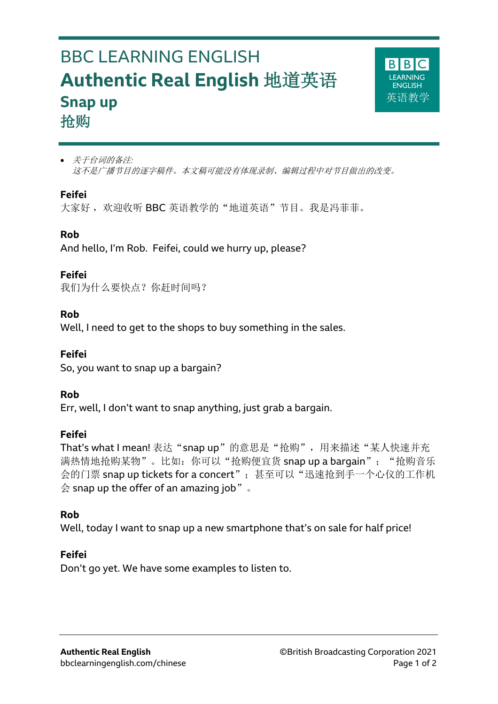# BBC LEARNING ENGLISH **Authentic Real English** 地道英语 **Snap up** 抢购



#### **Feifei**

l

大家好, 欢迎收听 BBC 英语教学的"地道英语"节目。我是冯菲菲。

# **Rob**

And hello, I'm Rob. Feifei, could we hurry up, please?

# **Feifei**

我们为什么要快点?你赶时间吗?

# **Rob**

Well, I need to get to the shops to buy something in the sales.

# **Feifei**

So, you want to snap up a bargain?

# **Rob**

Err, well, I don't want to snap anything, just grab a bargain.

# **Feifei**

That's what I mean! 表达"snap up"的意思是"抢购", 用来描述"某人快速并充 满热情地抢购某物"。比如: 你可以"抢购便宜货 snap up a bargain"; "抢购音乐 会的门票 snap up tickets for a concert"; 甚至可以"迅速抢到手一个心仪的工作机  $\triangle$  snap up the offer of an amazing job".

# **Rob**

Well, today I want to snap up a new smartphone that's on sale for half price!

# **Feifei**

Don't go yet. We have some examples to listen to.

**BIBIC** FARNING **ENGLISH** 革语教学